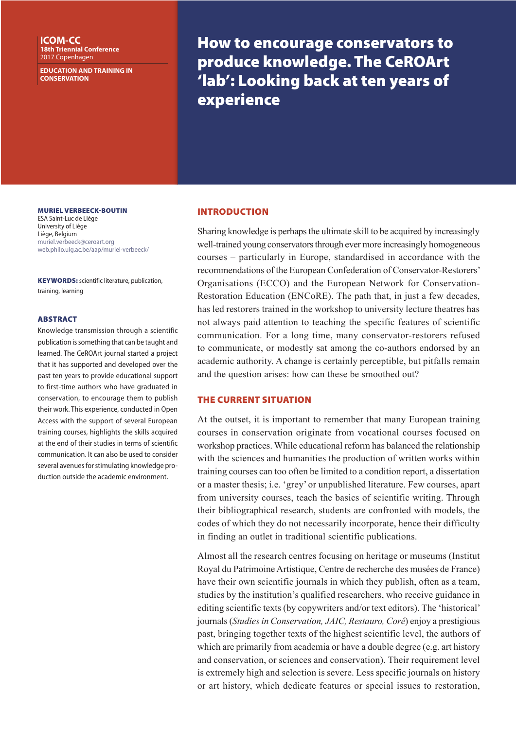**ICOM-CC 18th Triennial Conference** 2017 Copenhagen

**EDUCATION AND TRAINING IN CONSERVATION**

How to encourage conservators to produce knowledge. The CeROArt 'lab': Looking back at ten years of experience

MURIEL VERBEECK-BOUTIN

ESA Saint-Luc de Liège University of Liège Liège, Belgium muriel.verbeeck@ceroart.org web.philo.ulg.ac.be/aap/muriel-verbeeck/

KEYWORDS: scientific literature, publication, training, learning

#### **ABSTRACT**

Knowledge transmission through a scientific publication is something that can be taught and learned. The CeROArt journal started a project that it has supported and developed over the past ten years to provide educational support to first-time authors who have graduated in conservation, to encourage them to publish their work. This experience, conducted in Open Access with the support of several European training courses, highlights the skills acquired at the end of their studies in terms of scientific communication. It can also be used to consider several avenues for stimulating knowledge production outside the academic environment.

#### INTRODUCTION

Sharing knowledge is perhaps the ultimate skill to be acquired by increasingly well-trained young conservators through ever more increasingly homogeneous courses – particularly in Europe, standardised in accordance with the recommendations of the European Confederation of Conservator-Restorers' Organisations (ECCO) and the European Network for Conservation-Restoration Education (ENCoRE). The path that, in just a few decades, has led restorers trained in the workshop to university lecture theatres has not always paid attention to teaching the specific features of scientific communication. For a long time, many conservator-restorers refused to communicate, or modestly sat among the co-authors endorsed by an academic authority. A change is certainly perceptible, but pitfalls remain and the question arises: how can these be smoothed out?

# THE CURRENT SITUATION

At the outset, it is important to remember that many European training courses in conservation originate from vocational courses focused on workshop practices. While educational reform has balanced the relationship with the sciences and humanities the production of written works within training courses can too often be limited to a condition report, a dissertation or a master thesis; i.e. 'grey' or unpublished literature. Few courses, apart from university courses, teach the basics of scientific writing. Through their bibliographical research, students are confronted with models, the codes of which they do not necessarily incorporate, hence their difficulty in finding an outlet in traditional scientific publications.

Almost all the research centres focusing on heritage or museums (Institut Royal du Patrimoine Artistique, Centre de recherche des musées de France) have their own scientific journals in which they publish, often as a team, studies by the institution's qualified researchers, who receive guidance in editing scientific texts (by copywriters and/or text editors). The 'historical' journals (*Studies in Conservation, JAIC, Restauro, Corê*) enjoy a prestigious past, bringing together texts of the highest scientific level, the authors of which are primarily from academia or have a double degree (e.g. art history and conservation, or sciences and conservation). Their requirement level is extremely high and selection is severe. Less specific journals on history or art history, which dedicate features or special issues to restoration,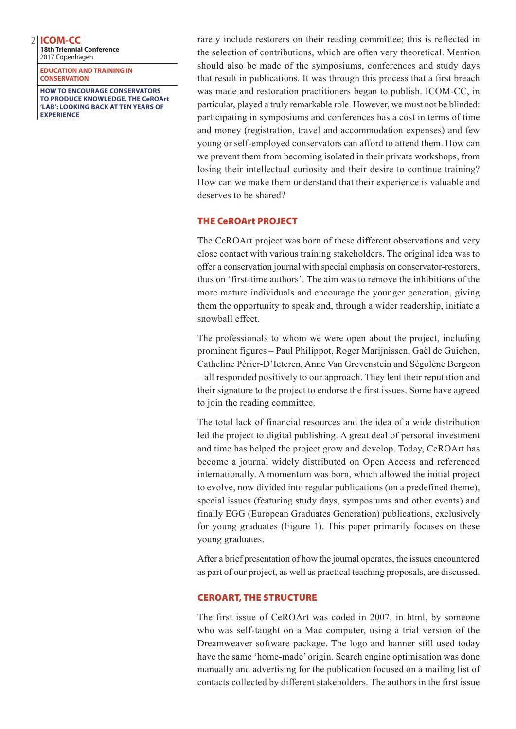**18th Triennial Conference** 2017 Copenhagen

**EDUCATION AND TRAINING IN CONSERVATION**

**HOW TO ENCOURAGE CONSERVATORS TO PRODUCE KNOWLEDGE. THE CeROArt 'LAB': LOOKING BACK AT TEN YEARS OF EXPERIENCE**

rarely include restorers on their reading committee; this is reflected in the selection of contributions, which are often very theoretical. Mention should also be made of the symposiums, conferences and study days that result in publications. It was through this process that a first breach was made and restoration practitioners began to publish. ICOM-CC, in particular, played a truly remarkable role. However, we must not be blinded: participating in symposiums and conferences has a cost in terms of time and money (registration, travel and accommodation expenses) and few young or self-employed conservators can afford to attend them. How can we prevent them from becoming isolated in their private workshops, from losing their intellectual curiosity and their desire to continue training? How can we make them understand that their experience is valuable and deserves to be shared?

## THE CeROArt PROJECT

The CeROArt project was born of these different observations and very close contact with various training stakeholders. The original idea was to offer a conservation journal with special emphasis on conservator-restorers, thus on 'first-time authors'. The aim was to remove the inhibitions of the more mature individuals and encourage the younger generation, giving them the opportunity to speak and, through a wider readership, initiate a snowball effect.

The professionals to whom we were open about the project, including prominent figures – Paul Philippot, Roger Marijnissen, Gaël de Guichen, Catheline Périer-D'Ieteren, Anne Van Grevenstein and Ségolène Bergeon – all responded positively to our approach. They lent their reputation and their signature to the project to endorse the first issues. Some have agreed to join the reading committee.

The total lack of financial resources and the idea of a wide distribution led the project to digital publishing. A great deal of personal investment and time has helped the project grow and develop. Today, CeROArt has become a journal widely distributed on Open Access and referenced internationally. A momentum was born, which allowed the initial project to evolve, now divided into regular publications (on a predefined theme), special issues (featuring study days, symposiums and other events) and finally EGG (European Graduates Generation) publications, exclusively for young graduates (Figure 1). This paper primarily focuses on these young graduates.

After a brief presentation of how the journal operates, the issues encountered as part of our project, as well as practical teaching proposals, are discussed.

## CEROART, THE STRUCTURE

The first issue of CeROArt was coded in 2007, in html, by someone who was self-taught on a Mac computer, using a trial version of the Dreamweaver software package. The logo and banner still used today have the same 'home-made' origin. Search engine optimisation was done manually and advertising for the publication focused on a mailing list of contacts collected by different stakeholders. The authors in the first issue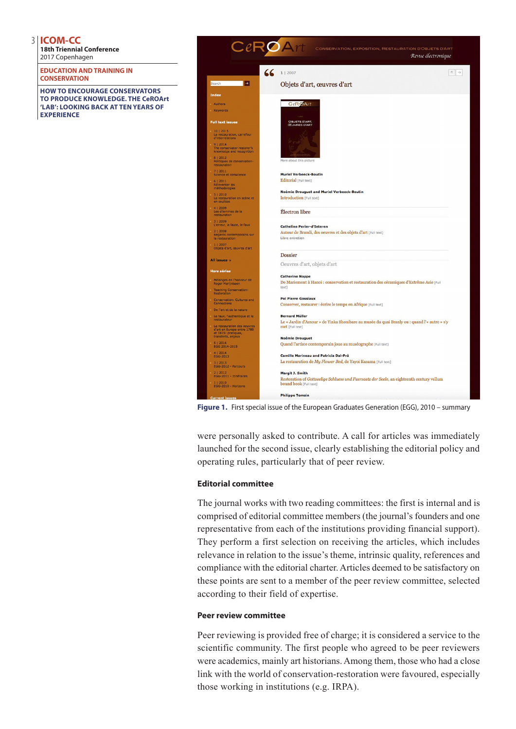**18th Triennial Conference** 2017 Copenhagen

**EDUCATION AND TRAINING IN CONSERVATION**

**HOW TO ENCOURAGE CONSERVATORS TO PRODUCE KNOWLEDGE. THE CeROArt 'LAB': LOOKING BACK AT TEN YEARS OF EXPERIENCE**



**Figure 1.** First special issue of the European Graduates Generation (EGG), 2010 – summary

were personally asked to contribute. A call for articles was immediately launched for the second issue, clearly establishing the editorial policy and operating rules, particularly that of peer review.

## **Editorial committee**

The journal works with two reading committees: the first is internal and is comprised of editorial committee members (the journal's founders and one representative from each of the institutions providing financial support). They perform a first selection on receiving the articles, which includes relevance in relation to the issue's theme, intrinsic quality, references and compliance with the editorial charter. Articles deemed to be satisfactory on these points are sent to a member of the peer review committee, selected according to their field of expertise.

## **Peer review committee**

Peer reviewing is provided free of charge; it is considered a service to the scientific community. The first people who agreed to be peer reviewers were academics, mainly art historians. Among them, those who had a close link with the world of conservation-restoration were favoured, especially those working in institutions (e.g. IRPA).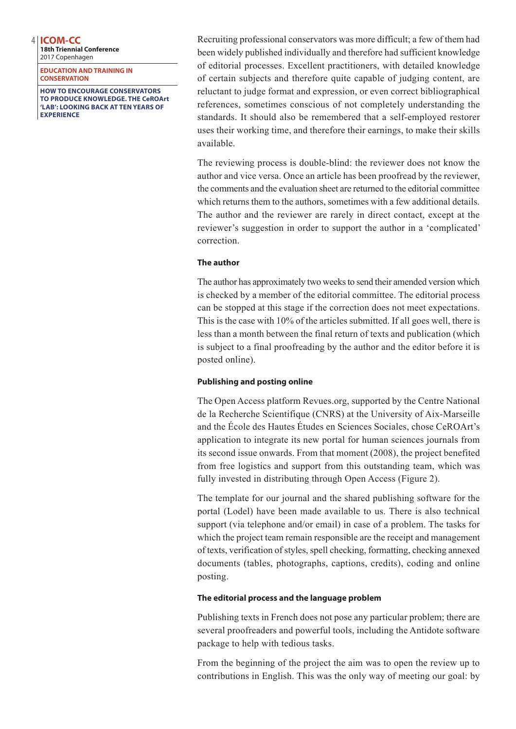**18th Triennial Conference** 2017 Copenhagen

**EDUCATION AND TRAINING IN CONSERVATION**

**HOW TO ENCOURAGE CONSERVATORS TO PRODUCE KNOWLEDGE. THE CeROArt 'LAB': LOOKING BACK AT TEN YEARS OF EXPERIENCE**

Recruiting professional conservators was more difficult; a few of them had been widely published individually and therefore had sufficient knowledge of editorial processes. Excellent practitioners, with detailed knowledge of certain subjects and therefore quite capable of judging content, are reluctant to judge format and expression, or even correct bibliographical references, sometimes conscious of not completely understanding the standards. It should also be remembered that a self-employed restorer uses their working time, and therefore their earnings, to make their skills available.

The reviewing process is double-blind: the reviewer does not know the author and vice versa. Once an article has been proofread by the reviewer, the comments and the evaluation sheet are returned to the editorial committee which returns them to the authors, sometimes with a few additional details. The author and the reviewer are rarely in direct contact, except at the reviewer's suggestion in order to support the author in a 'complicated' correction.

## **The author**

The author has approximately two weeks to send their amended version which is checked by a member of the editorial committee. The editorial process can be stopped at this stage if the correction does not meet expectations. This is the case with 10% of the articles submitted. If all goes well, there is less than a month between the final return of texts and publication (which is subject to a final proofreading by the author and the editor before it is posted online).

# **Publishing and posting online**

The Open Access platform Revues.org, supported by the Centre National de la Recherche Scientifique (CNRS) at the University of Aix-Marseille and the École des Hautes Études en Sciences Sociales, chose CeROArt's application to integrate its new portal for human sciences journals from its second issue onwards. From that moment (2008), the project benefited from free logistics and support from this outstanding team, which was fully invested in distributing through Open Access (Figure 2).

The template for our journal and the shared publishing software for the portal (Lodel) have been made available to us. There is also technical support (via telephone and/or email) in case of a problem. The tasks for which the project team remain responsible are the receipt and management of texts, verification of styles, spell checking, formatting, checking annexed documents (tables, photographs, captions, credits), coding and online posting.

# **The editorial process and the language problem**

Publishing texts in French does not pose any particular problem; there are several proofreaders and powerful tools, including the Antidote software package to help with tedious tasks.

From the beginning of the project the aim was to open the review up to contributions in English. This was the only way of meeting our goal: by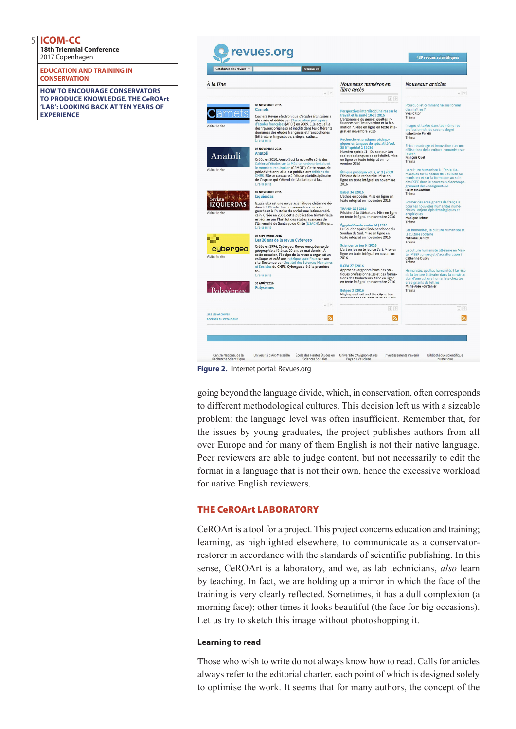**18th Triennial Conference** 2017 Copenhagen

**EDUCATION AND TRAINING IN CONSERVATION**

**HOW TO ENCOURAGE CONSERVATORS TO PRODUCE KNOWLEDGE. THE CeROArt 'LAB': LOOKING BACK AT TEN YEARS OF EXPERIENCE**



**Figure 2.** Internet portal: Revues.org

going beyond the language divide, which, in conservation, often corresponds to different methodological cultures. This decision left us with a sizeable problem: the language level was often insufficient. Remember that, for the issues by young graduates, the project publishes authors from all over Europe and for many of them English is not their native language. Peer reviewers are able to judge content, but not necessarily to edit the format in a language that is not their own, hence the excessive workload for native English reviewers.

# THE CeROArt LABORATORY

CeROArt is a tool for a project. This project concerns education and training; learning, as highlighted elsewhere, to communicate as a conservatorrestorer in accordance with the standards of scientific publishing. In this sense, CeROArt is a laboratory, and we, as lab technicians, *also* learn by teaching. In fact, we are holding up a mirror in which the face of the training is very clearly reflected. Sometimes, it has a dull complexion (a morning face); other times it looks beautiful (the face for big occasions). Let us try to sketch this image without photoshopping it.

## **Learning to read**

Those who wish to write do not always know how to read. Calls for articles always refer to the editorial charter, each point of which is designed solely to optimise the work. It seems that for many authors, the concept of the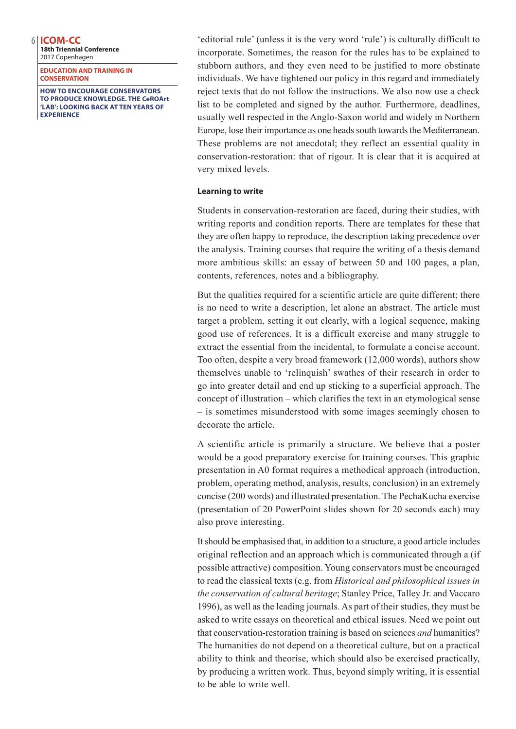**18th Triennial Conference** 2017 Copenhagen

**EDUCATION AND TRAINING IN CONSERVATION**

**HOW TO ENCOURAGE CONSERVATORS TO PRODUCE KNOWLEDGE. THE CeROArt 'LAB': LOOKING BACK AT TEN YEARS OF EXPERIENCE**

'editorial rule' (unless it is the very word 'rule') is culturally difficult to incorporate. Sometimes, the reason for the rules has to be explained to stubborn authors, and they even need to be justified to more obstinate individuals. We have tightened our policy in this regard and immediately reject texts that do not follow the instructions. We also now use a check list to be completed and signed by the author. Furthermore, deadlines, usually well respected in the Anglo-Saxon world and widely in Northern Europe, lose their importance as one heads south towards the Mediterranean. These problems are not anecdotal; they reflect an essential quality in conservation-restoration: that of rigour. It is clear that it is acquired at very mixed levels.

#### **Learning to write**

Students in conservation-restoration are faced, during their studies, with writing reports and condition reports. There are templates for these that they are often happy to reproduce, the description taking precedence over the analysis. Training courses that require the writing of a thesis demand more ambitious skills: an essay of between 50 and 100 pages, a plan, contents, references, notes and a bibliography.

But the qualities required for a scientific article are quite different; there is no need to write a description, let alone an abstract. The article must target a problem, setting it out clearly, with a logical sequence, making good use of references. It is a difficult exercise and many struggle to extract the essential from the incidental, to formulate a concise account. Too often, despite a very broad framework (12,000 words), authors show themselves unable to 'relinquish' swathes of their research in order to go into greater detail and end up sticking to a superficial approach. The concept of illustration – which clarifies the text in an etymological sense – is sometimes misunderstood with some images seemingly chosen to decorate the article.

A scientific article is primarily a structure. We believe that a poster would be a good preparatory exercise for training courses. This graphic presentation in A0 format requires a methodical approach (introduction, problem, operating method, analysis, results, conclusion) in an extremely concise (200 words) and illustrated presentation. The PechaKucha exercise (presentation of 20 PowerPoint slides shown for 20 seconds each) may also prove interesting.

It should be emphasised that, in addition to a structure, a good article includes original reflection and an approach which is communicated through a (if possible attractive) composition. Young conservators must be encouraged to read the classical texts (e.g. from *Historical and philosophical issues in the conservation of cultural heritage*; Stanley Price, Talley Jr. and Vaccaro 1996), as well as the leading journals. As part of their studies, they must be asked to write essays on theoretical and ethical issues. Need we point out that conservation-restoration training is based on sciences *and* humanities? The humanities do not depend on a theoretical culture, but on a practical ability to think and theorise, which should also be exercised practically, by producing a written work. Thus, beyond simply writing, it is essential to be able to write well.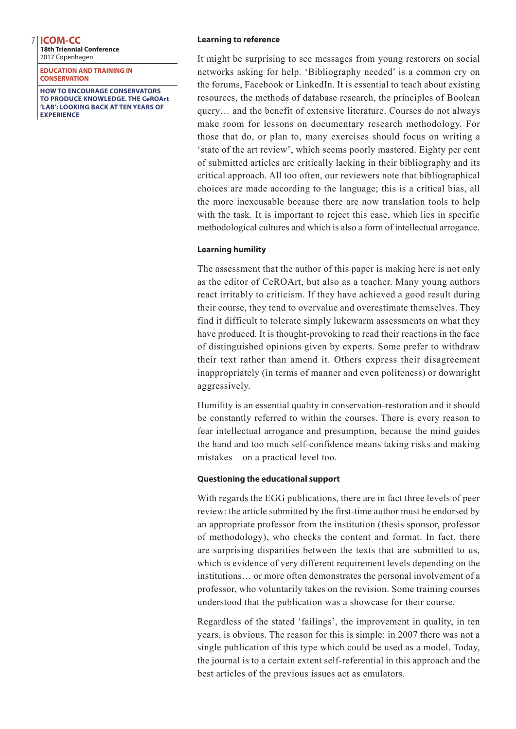**18th Triennial Conference** 2017 Copenhagen

**EDUCATION AND TRAINING IN CONSERVATION**

**HOW TO ENCOURAGE CONSERVATORS TO PRODUCE KNOWLEDGE. THE CeROArt 'LAB': LOOKING BACK AT TEN YEARS OF EXPERIENCE**

#### **Learning to reference**

It might be surprising to see messages from young restorers on social networks asking for help. 'Bibliography needed' is a common cry on the forums, Facebook or LinkedIn. It is essential to teach about existing resources, the methods of database research, the principles of Boolean query… and the benefit of extensive literature. Courses do not always make room for lessons on documentary research methodology. For those that do, or plan to, many exercises should focus on writing a 'state of the art review', which seems poorly mastered. Eighty per cent of submitted articles are critically lacking in their bibliography and its critical approach. All too often, our reviewers note that bibliographical choices are made according to the language; this is a critical bias, all the more inexcusable because there are now translation tools to help with the task. It is important to reject this ease, which lies in specific methodological cultures and which is also a form of intellectual arrogance.

## **Learning humility**

The assessment that the author of this paper is making here is not only as the editor of CeROArt, but also as a teacher. Many young authors react irritably to criticism. If they have achieved a good result during their course, they tend to overvalue and overestimate themselves. They find it difficult to tolerate simply lukewarm assessments on what they have produced. It is thought-provoking to read their reactions in the face of distinguished opinions given by experts. Some prefer to withdraw their text rather than amend it. Others express their disagreement inappropriately (in terms of manner and even politeness) or downright aggressively.

Humility is an essential quality in conservation-restoration and it should be constantly referred to within the courses. There is every reason to fear intellectual arrogance and presumption, because the mind guides the hand and too much self-confidence means taking risks and making mistakes – on a practical level too.

# **Questioning the educational support**

With regards the EGG publications, there are in fact three levels of peer review: the article submitted by the first-time author must be endorsed by an appropriate professor from the institution (thesis sponsor, professor of methodology), who checks the content and format. In fact, there are surprising disparities between the texts that are submitted to us, which is evidence of very different requirement levels depending on the institutions… or more often demonstrates the personal involvement of a professor, who voluntarily takes on the revision. Some training courses understood that the publication was a showcase for their course.

Regardless of the stated 'failings', the improvement in quality, in ten years, is obvious. The reason for this is simple: in 2007 there was not a single publication of this type which could be used as a model. Today, the journal is to a certain extent self-referential in this approach and the best articles of the previous issues act as emulators.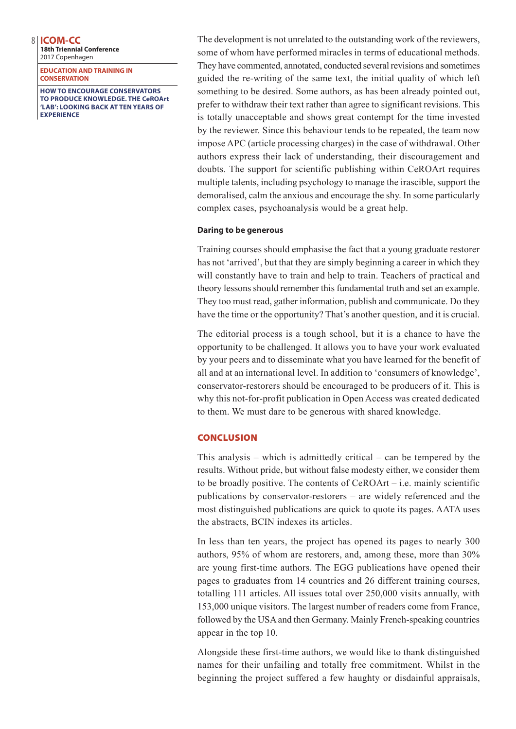**18th Triennial Conference** 2017 Copenhagen

**EDUCATION AND TRAINING IN CONSERVATION**

**HOW TO ENCOURAGE CONSERVATORS TO PRODUCE KNOWLEDGE. THE CeROArt 'LAB': LOOKING BACK AT TEN YEARS OF EXPERIENCE**

The development is not unrelated to the outstanding work of the reviewers, some of whom have performed miracles in terms of educational methods. They have commented, annotated, conducted several revisions and sometimes guided the re-writing of the same text, the initial quality of which left something to be desired. Some authors, as has been already pointed out, prefer to withdraw their text rather than agree to significant revisions. This is totally unacceptable and shows great contempt for the time invested by the reviewer. Since this behaviour tends to be repeated, the team now impose APC (article processing charges) in the case of withdrawal. Other authors express their lack of understanding, their discouragement and doubts. The support for scientific publishing within CeROArt requires multiple talents, including psychology to manage the irascible, support the demoralised, calm the anxious and encourage the shy. In some particularly complex cases, psychoanalysis would be a great help.

#### **Daring to be generous**

Training courses should emphasise the fact that a young graduate restorer has not 'arrived', but that they are simply beginning a career in which they will constantly have to train and help to train. Teachers of practical and theory lessons should remember this fundamental truth and set an example. They too must read, gather information, publish and communicate. Do they have the time or the opportunity? That's another question, and it is crucial.

The editorial process is a tough school, but it is a chance to have the opportunity to be challenged. It allows you to have your work evaluated by your peers and to disseminate what you have learned for the benefit of all and at an international level. In addition to 'consumers of knowledge', conservator-restorers should be encouraged to be producers of it. This is why this not-for-profit publication in Open Access was created dedicated to them. We must dare to be generous with shared knowledge.

## **CONCLUSION**

This analysis – which is admittedly critical – can be tempered by the results. Without pride, but without false modesty either, we consider them to be broadly positive. The contents of CeROArt – i.e. mainly scientific publications by conservator-restorers – are widely referenced and the most distinguished publications are quick to quote its pages. AATA uses the abstracts, BCIN indexes its articles.

In less than ten years, the project has opened its pages to nearly 300 authors, 95% of whom are restorers, and, among these, more than 30% are young first-time authors. The EGG publications have opened their pages to graduates from 14 countries and 26 different training courses, totalling 111 articles. All issues total over 250,000 visits annually, with 153,000 unique visitors. The largest number of readers come from France, followed by the USA and then Germany. Mainly French-speaking countries appear in the top 10.

Alongside these first-time authors, we would like to thank distinguished names for their unfailing and totally free commitment. Whilst in the beginning the project suffered a few haughty or disdainful appraisals,